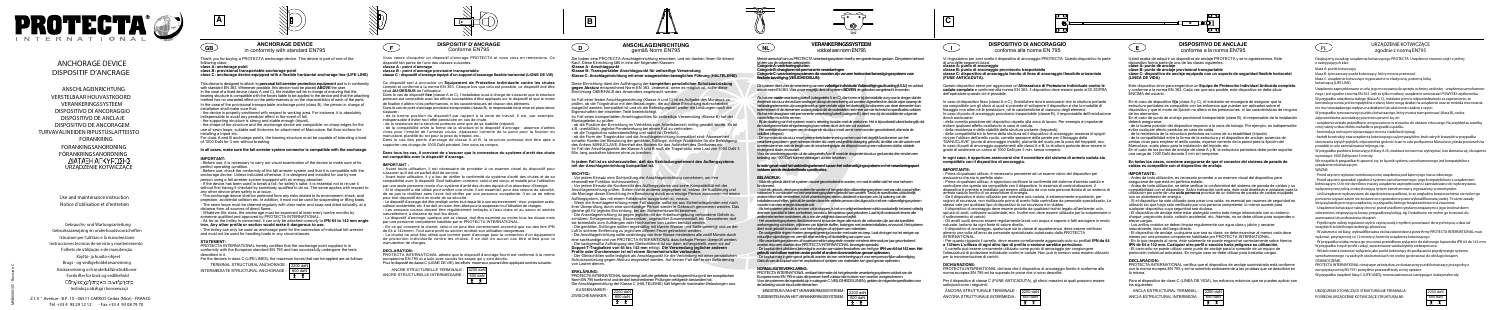**ANCHORAGE DEVICE** in conformity with standard EN795

Thank you for buying a PROTECTA anchorage device. This device is part of one of the following class:

### **class A: anchorage point**

**class B: provisional transportable anchorage point class C: anchorage device equipped with a flexible horizontal anchorage line (LIFE LINE)**

This device is designed to attach to **personal fall-arrester protection equipment** and is in conformity with standard EN 363. Whenever possible, this device must be placed **ABOVE** the user. In the case of a fixed device (class A and C), the installer will be in charge of ensuring that the bearing structure is compatible with the forces liable to be applied to the device and that the attaching method has no unwanted effect on the performances or on the characteristics of each of the parts. In the case of the provisional transportable anchorage point (class B), the person in charge of installation shall make sure that:

- the device is properly positioned with respect to working area. For instance, it is absolutely indispensable to avoid any pendular effect in the event of fall.

- the supporting structure is strong and stable enough (tripod).

- the shape of the structure and the anchorage device are compatible: no sharp edges for the use of sewn loops, suitable wall thickness for attachment of Manuclave, flat floor surface for installing a tripod etc.

- Whatever the class, the anchorage must be examined at least every twelve months by someone qualified and approved by PROTECTA INTERNATIONAL.

For class A and B anchorage points, the bearing structure must be capable of tolerating a load of 1000 DaN for 3 min without breaking.

#### **In all cases, make sure the fall arrester system connector is compatible with the anchorage.**

### **IMPORTANT:**

TERMINAL STRUCTURAL ANCHORAGE : 2200 daN INTERMEDIATE STRUCTURAL ANCHORAGE : 600 da

- Before use, it is necessary to carry out visual examination of the device to make sure of its perfect operating condition.

- Before use, check the conformity of the fall arrester system and that it is compatible with the anchorage device. Unless indicated otherwise, it is designed and installed for use by one person using a fall arrester system equipped with an energy absorber.

- If the device has been used to break a fall, for safety's sake, it is essential not to re-use it without first having it checked by somebody qualified to do so. The same applies with respect to any other device when safety is at issue.

- The anchorage device shall be protected from any risks related to its environment: shock, acid projection, accidental collision etc. In addition, it must not be used for suspending or lifting loads. - The sewn loops must be cleaned regularly with clear water and soap and dried naturally, at a distance from all sources of direct flame.

- As far as the trolley is concerned, it can only be attached correctly to **IPN 64 to 142 mm angle iron. Any other profile or section would make it dangerous to use.**

- The trolley can only be used as anchorage point for the connection of individual fall arrester and must not be used for handling loads in any circumstances.

### **STATEMENT:**

PROTECTA INTERNATIONAL hereby certifies that the anchorage point supplied is in conformity with the European standard EN 795 and has successfully undergone the tests described in it.

For the devices in class C (LIFE LINES), the maximum forces that can be applied are as follows:

# **DISPOSITIF D'ANCRAGE**

Conforme EN795

Vous venez d'acquérir un dispositif d'ancrage PROTECTA et nous vous en remercions. Ce dispositif fait partie de l'une des classes suivantes:

**classe A : point d'ancrage**

**classe B : point d'ancrage provisoire transportable classe C : dispositif d'ancrage équipé d'un support d'assurage flexible horizontal (LIGNE DE VIE)**

Sie haben eine PROTECTA-Anschlageinrichtung erworben, und wir danken Ihnen für diesen Kauf. Diese Einrichtung fällt in eine der folgenden Klassen:

Ce dispositif sert à accrocher un **Equipement de Protection Individuelle contre les chutes** complet et conforme à la norme EN 363. Chaque fois que cela est possible, ce dispositif doit être situé **AU-DESSUS** de l'utilisateur.

Dans le cas de dispositif **fixe** (classe A et C), l'installateur aura à charge de s'assurer que la structure porteuse est compatible avec les efforts susceptibles d'être appliqués sur le dispositif et que le mode de fixation n'altère ni les performances, ni les caractéristiques de chacun des éléments. Dans le cas de point d'ancrage provisoire transportable (classe B), le responsable de la mise en place devra

s'assurer : - de la bonne position du dispositif par rapport à la zone de travail. Il est, par exemple, indispensable d'éviter tout effet pendulaire en cas de chute.

- de la resistance de la structure porteuse ainsi que de sa stabilité (trépied).

- de la compatibilité entre la forme de la structure et le dispositif d'ancrage : absence d'arêtes vives pour l'emploi de l'anneau cousu, épaisseur correcte de la paroi pour la fixation du manuclave, planéité du sol pour la pose du trépied, etc..

Dans le cas des points d'ancrage de classe A et B, la structure porteuse doit être apte à supporter une charge de 1000 DaN pendant 3mn sans se rompre.

#### **Dans tous les cas, il convient de s'assurer que le connecteur du système d'arrêt des chute est compatible avec le dispositif d'ancrage.**

Die Anschlageinrichtung ist gegen jegliche mit der Arbeitsumgebung verbundene Gefahr zu schützen: Schlageinwirkung, Säurespritzer, ungewollter Zusammenstoß etc. Desweiteren darf sie keinesfalls zum Aufhängen oder Hochziehen von Lasten benutzt werden.

- Die genähten Schlingen sollten regelmäßig mit klarem Wasser und Seife gereinigt und an der Luft in sicherer Entfernung zu jeglichem offenen Feuer getrocknet werden.

#### **IMPORTANT :**

- Avant toute utilisation, il est nécessaire de procéder à un examen visuel du dispositif pour s'assurer qu'il est en parfait état de service.

- Avant toute utilisation, il y a lieu de vérifier la conformité du système d'arrêt des chutes et de sa compatibilité avec le dispositif. Sauf indication contraire, celui-ci est conçu et installé pour l'utilisation par une seule personne munie d'un système d'arrêt des chutes équipé d'un absorbeur d'énergie. - Si le dispositif a été utilisé pour arrêter une chute, il est essentiel, pour des raisons de sécurité, de ne pas le réutiliser sans l'avoir fait vérifier par une personne compétente. Il en va de même pour tout dispositif dont on doute de sa sécurité.

- Le dispositif d'ancrage doit être protégé contre tout risque lié à son environnement : choc, projection acide, collision accidentelle, etc. Il ne doit ,en outre, être utilisé pour la suspension ou l'élévation de charges. - Les anneaux cousus doivent être régulièrement nettoyés à l'eau claire et au savon et séchés naturellement, à distance de tout feu direct.

- Le dispositif d'ancrage, quelque soit sa classe, doit être examiné au moins tous les douze mois par une personne compétente habilitée par le PROTECTA INTERNATIONAL.

Bij de plaatsing van het systeem moet u rekening houden met de werkzone. Het is bijvoorbeeld uiterst belangrijk dat de kabel geen enkele slingerbeweging kan maken als er zich een val voordoet.

- En ce qui concerne le chariot, celui-ci ne peut être correctement accroché que sur des fers IPN de 64 à 142mmm. Tout autre profil ou section rendrait son utilisation dangereuse.

- Le chariot ne peut être utilisé que comme point d'ancrage pour la connection d'un équipement de protection individuelle contre les chutes. Il ne doit en aucun cas être utilisé pour la manutention de charges.

#### **DECLARATION:**

PROTECTA INTERNATIONAL atteste que le dispositif d'ancrage fourni est conforme à la norme européenne EN 795 et a subi avec succès les essais qui y sont décrits. Pour le dispositif de classe C (LIGNE DE VIE), les efforts maximaux pouvant être appliqués sont les suivants:

# **ANSCHLAGEINRICHTUNG** gemäß Norm EN795

**Klasse A: Anschlagpunkt**

**Klasse B: Transportabler Anschlagpunkt für zeitweilige Verwendung Klasse C: Anschlageinrichtung mit einer waagerechten beweglichen Führung (HALTELEINE)**

#### **DISPOSITIVO DI ANCORAGGIO** conforme alla norma EN 795  $\bullet$  **Conformity with standard EN795 Conformity with standard EN795 Conformity with standard EN795 Conformity and EN795 Conformity with standard EN795 Conformity with standard EN795 Conformity with standard EN7**



Diese Einrichtung dient der Aufhängung der **kompletten persönlichen Schutzausrüstung gegen Absturz** entsprechend Norm EN 363. Jedesmal, wenn es möglich ist, sollte diese Einrichtung OBERHALB des Anwenders angebracht werden.

Im Fall einer festen Anschlageinrichtung (Klasse A und C) ist es Aufgabe des Monteurs zu prüfen, ob die Tragstruktur mit den Belastungen, die auf diese Einrichtung wahrscheinlich ausgeübt werden, kompatibel ist und ob die Befestigungsart weder die Leistungen noch die Eigenschaften der einzelnen Teile beeinträchtigt.

Im Fall eines transportablen Anschlagpunktes für zeitweilige Verwendung (Klasse B) hat der Montageleiter zu prüfen:

- ob die Position der Einrichtung im Verhältnis zum Arbeitsbereich richtig gewählt wurde. Es ist z.B. unerläßlich, jegliche Pendelwirkung bei einem Fall zu verhindern.

- ob die Tragstruktur widerstandsfähig und stabil ist (Dreifuß).

- ob die Form der Tragstruktur und die Anschlageinrichtung kompatibel sind: Abwesenheit scharfer Kanten bei Benutzung der genähten Schlinge, richtige Wanddicke für die Befestigung des Ankers MANUCLAVE, Ebenheit des Bodens für das Aufstellen des Dreifusses etc. Im Fall der Anschlagpunkte der Klasse A und B muß die Tragstruktur eine Last von 1000 DaN 3 Min. lang aushalten können ohne zu brechen.

#### **In jedem Fall ist es sicherzustellen, daß das Verbindungselement des Auffangsystems mit der Anschlageinrichtung kompatibel ist.**

**WICHTIG:** - Vor jedem Einsatz eine Sichtprüfung der Anschlageinrichtung vornehmen, um ihre einwandfreie Funktion sicherzustellen.

- Vor jedem Einsatz die Konformität des Auffangsystems und seine Kompatibilität mit der Anschlageinrichtung prüfen. Sofern nichts anderes angegeben ist, setzen die Ausführung und die Montage dieser Einrichtung ihre Benutzung durch eine einzige Person zusammen mit einem Auffangsystem, das mit einem Falldämpfer ausgerüstet ist, voraus.

- Wenn die Anschlageinrichtung einen Fall stoppte, sollte sie aus Sicherheitsgründen erst nach ihrer Überprüfung durch eine sachkundige Person wieder in Gebrauch genommen werden. Das gleiche gilt für jegliche Einrichtung, bei der Sicherheitszweifel bestehen.

- Die Anschlageinrichtung sollte unabhängig von ihrer Klasse mindestens alle zwölf Monate durch eine sachkundige und von PROTECTA INTERNATIONAL dazu befugte Person überprüft werden. - Die sachgemäße Aufhängung des Gleitschlittens ist nur dann sichergestellt, wenn sie auf

#### **Doppel-T-Tragbalken von 64 bis 142 mm** erfolgt. **Die Verwendung jeglicher anderen Profile oder Durchmesser ist mit einem Sicherheitsrisiko verbunden.**

- Der Gleitschlitten sollte lediglich als Anschlagpunkt für die Verbindung mit einer persönlichen Schutzausrüstung gegen Absturz eingesetzt werden. Auf keinen Fall darf er der Beförderung von Lasten dienen.

**ERKLÄRUNG:**

PROTECTA INTERNATIONAL bescheinigt, daß die gelieferte Anschlageinrichtung mit der europäischen Norm EN 795 konform ist und die dort beschriebenen Prüfungen erfolgreich bestanden hat. Die Anschlageinrichtung der Klasse C (HALTELEINE) hält folgende maximalen Belastungen aus:

AUSSENANKER : ZWISCHENANKER :

# **VERANKERINGSSYSTEEM** voldoet aan norm EN795

Met de aanschaf van uw PROTECTA verankeringssysteem heeft u een goede keuze gedaan. Dit systeem behoort tot één van de volgende categorieën: **Categorie A: verankeringspunten**

Categorie B: draagbare niet-permanente verankering

**Categorie C: verankeringssystemen die voorzien zijn van een horizontaal bevestigingssysteem voor flexibele beveiliging (VEILIGHEIDSLIJN)**

ANSCHLAGEINRICHTUNG ANSCHLAGEINRICHTUNG VERSTELBAAR HOUVASTKOORD VERSTELBAAR HOUVASTKOORD VERANKERINGSSYSTEEM VERANKERINGSSYSTEEM DISPOSITIVO DI ANCORAGGIO DISPOSITIVO DI ANCORAGGIO DISPOSITIVO DE ANCLAJE DISPOSITIVO DE ANCLAJE DISPOSITIVO DE ANCORAGEM DISPOSITIVO DE ANCORAGEM TURVAVÄLINEIDEN RIPUSTUSLAITTEISTO TURVAVÄLINEIDEN RIPUSTUSLAITTEISTO FORANKRING FORANKRING FORANKINGSANORDNING FORANKINGSANORDNING FÖRANKRINGSANORDNING FÖRANKRINGSANORDNINGURZĄDZENIE KOTWICZĄC

Dit systeem dient voor de verankering van een **volledige Individuele Valbeveiligingsuitrusting (I.V.U.)**en voldoet aan de norm EN 363. Voor zover mogelijk dient dit systeem **BOVEN**de gebruiker aangebracht te worden.

Als het een **vaste**verankering betreft (categorieën A en C), dient men er bij de installatie zorg voor te dragen dat de dragende structuur de last kan verdragen die op de verankering zal worden uitgeoefend en dat de wijze waarop de verbindingselementen zijn aangebracht op geen enkele wijze het doelmatig functioneren van deze elementen kan belemmeren of de elementen zodanig belast dat de onderdelen niet meer aan de technische specificaties voldoen Als het een draagbare niet-permanente verankering betreft (categorie B), dient men bij de installatie de volgende voorschriften in acht te nemen:

W przypadku tymczasowego punktu kotwiczącego, który można transportować (klasa B), osoba W przypadku tymczasowego punktu kotwiczącego, który można transportować (klasa B), osoba instalación odpowiedzialna za instalację powinna upewnić się, że:

- Het weerstandsvermogen van de dragende structuur moet van te voren worden gecontroleerd, alsmede de stabiliteit (driepoot)

- De vorm van de structuur moet geen enkele belemmering vormen voor het degelijk functioneren van het verankeringssysteem: geen scherpe randen als u een vastgestikte draagring gebruikt, de dikte van de wand moet overeenstemmen met de lengte van de verankeringsspie, de driepoot moet op een volkomen vlakke, stabiele ondergrond staan, enzovoort.

Voor de verankeringspunten uit de categorieën A en B moet de dragende structuur gedurende drie minuten een belasting van 1000 DaN kunnen verdragen, zonder te breken.

# **In ieder geval moet het verbindingselement tussen het valbeveiligingssysteem en het verankeringspunt voldoen aan de desbetreffende specificaties.**

#### **BELANGRIJK:**

- Vóór elk gebruik dient het systeem visueel gecontroleerd te worden, om vast te stellen dat het naar behoren

functioneert. - Vóór elk gebruik, dient gecontroleerd te worden of het gebruikte valbeveiligingssysteem wel aan alle voorschriften voldoet en in combinatie met het verankeringssysteem gebruikt kan worden. Tenzij de specificaties uitdrukkelijk andere informatie verstrekken, is het verankeringssysteem uitsluitend ontworpen om, bij naleving van de installatievoorschriften, gebruikt te worden door één enkele persoon die uitgerust is met een valbeveiligingssysteem

> URZĄDZENIE KTOWICZĄCE STRUKTURALNE TERMINALA: POŚREDNI URZĄDZENIE KOTWICZĄCE STRUKTURALNE: POŚREDNI URZĄDZENIE KOTWICZĄCE STRUKTURALNE: 600 daN

voorzien van een energie-absorptie-unit.

- Als het systeem gebruikt is om een val te stoppen, is het om veiligheidsredenen strikt noodzakelijk het eerst volledig door een specialist te laten controleren, voordat u het opnieuw gaat gebruiken. Laat bij dit onderzoek tevens alle andere elementen controleren, als u aan de veiligheid daarvan twijfelt.

- Het verankeringssysteem dient beschermd te worden tegen alle risico's die verbonden zijn aan de specifieke werkomgeving: schokken, vrijkomen van bijtende stoffen, botsingen met andere installaties, enzovoort. Het systeem dient nooit gebruikt te worden voor het ophangen of ophijsen van materialen.

- De vastgestikte ringen moeten geregeld gereinigd worden met water en zeep. Laat de ringen na het reinigen op natuurlijke wijze drogen en vermijdt elke verhitting of blootstelling aan open vuur.

- Alle verankeringssystemen uit bovenvermelde categorieën moeten minstens éénmaal per jaar gecontroleerd worden door een daartoe door PROTECTA INTERNATIONAL bevoegde specialist.

- De loopkat dient uitsluitend bevestigd te worden aan stalen flensbalken van het type **IPN van 64 tot 142 mm. Het gebruik van balken met een ander profiel of andere doorsnede kan gevaar opleveren.**

1a doce **bylu – W zależności od klasy, wykwalifikowana osoba zatwierdzona przez firmę PROTECTA INTERNATIONAL musi** wykonać, przynajmniej co 12 miesięcy, kontrolę urządzenia kotwiczącego. wykonać, przynajmniej co 12 miesięcy, kontrolę urządzenia kotwiczącego.

- De loopkat mag in geen geval gebruikt worden als een verankeringspunt voor een persoonlijke valbeveiliging. Gebruik van de loopkat voor het verplaatsen of ophijsen van materialen kan groot gevaar opleveren.

ANCRE STRUCTURELLE TERMINALE : 600 daN 2200 daN ANCRE STRUCTURELLE INTERMEDIAIRE : 600 daN

|    | aux pouvant être app |
|----|----------------------|
| N١ |                      |
| ⇃  |                      |
|    |                      |

#### **NORMALISATIEVERKLARING:**

PROTECTA INTERNATIONAL verklaart hiermede dat het geleverde verankeringssysteem voldoet aan de Europese norm EN 795 en aan alle proeven heeft voldaan die in deze norm worden voorgeschreven. Voor de systemen die ingedeeld zijn in categorie C (VEILIGHEIDSLIJNEN), gelden de volgende specificaties voor de belasting van de structurele elementen:

Vi ringraziamo per aver scelto il dispositivo di ancoraggio PROTECTA. Questo dispositivo fa parte di una delle seguenti classi:

**classe A: punto di ancoraggio**

**classe B: punto di ancoraggio provvisorio trasportabile**

**classe C: dispositivo di ancoraggio fornito di linea di ancoraggio flessibile orizzontale (FUNE ANTICADUTA).**

Questo dispositivo serve per agganciare un'**Attrezzatura di Protezione Individuale contro le cadute completa** e conforme alla norma EN 363. Il dispositivo deve essere posto al DI SOPRA dell'operatore quando ciò è possibile.

In caso di dispositivo fisso (classi A e C), l'installatore dovrà assicurarsi che la struttura portante sia compatibile con gli sforzi ai quali si prevede di sottoporre il dispositivo e che la modalità di fissaggio non alteri né le prestazioni, né le caratteristiche di ciascuno degli elementi. In caso di punto di ancoraggio provvisorio trasportabile (classe B), il responsabile dell'installazione dovrà assicurarsi:

- della corretta posizione del dispositivo rispetto alla zona di lavoro. Per esempio è importante evitare qualsiasi effetto oscillatorio in caso di caduta;

- della resistenza e della stabilità della struttura portante (treppiedi)

- della compatibilità tra la forma della struttura ed il dispositivo di ancoraggio: assenza di spigoli vivi per l'utilizzo dell'anello cucito, corretto spessore della parete per il fissaggio della "MANUCLAVE" (punto di ancoraggio mobile), planarità del suolo per la posa del treppiedi, ecc. In caso di punti di ancoraggio appartenenti alle classi A e B, la struttura portante deve essere in grado di sostenere un carico di 1000 DaN per 3 min. senza rompersi.

#### **In ogni caso, è opportuno assicurarsi che il connettore del sistema di arresto caduta sia compatibile con il dispositivo di ancoraggio.**

### **IMPORTANTE:**

- Prima di qualsiasi utilizzo, è necessario procedere ad un esame visivo del dispositivo per assicurarsi che sia in perfetto stato.

- Prima di qualsiasi utilizzo, è opportuno verificare la conformità del sistema d'arresto caduta e controllare che questo sia compatibile con il dispositivo. In assenza di controindicazioni, il dispositivo è previsto e installato per essere utilizzato da una sola persona dotata di un sistema di arresto caduta fornito di un assorbitore di energia.

- Se il dispositivo è stato utilizzato per arrestare una caduta, è estremamente importante, per ragioni di sicurezza, non riutilizzarlo prima di averlo fatto controllare da personale specializzato. Lo stesso vale per qualsiasi tipo di dispositivo la cui sicurezza è in dubbio.

- Il dispositivo di ancoraggio deve essere protetto da qualsiasi rischio legato all'ambiente: urto, spruzzi di acidi, collisione accidentale, ecc. Inoltre non deve essere utilizzato per la sospensione o il sollevamento di carichi.

- Gli anelli cuciti devono essere regolarmente lavati con acqua e sapone e fatti asciugare in modo naturale, lontano da ogni fonte di calore diretta.

- Il dispositivo di ancoraggio, qualunque sia la classe di appartenenza, deve essere verificato almeno una volta all'anno da personale specializzato autorizzato dalla PROTECTA INTERNATIONAL.

- Per quanto riguarda il carrello, deve essere correttamente agganciato solo su profilati **IPN da 64 a 142mm L'utilizzo di ogni altro tipo di profilo o sezione sarebbe pericoloso.**

**Use and maintenance instruction Use and maintenance instruction Notice d'utilisation et d'entretien Notice d'utilisation et d'entretien**

> - Il carrello può essere unicamente utilizzato come punto di ancoraggio per congiungere l'attrezzatura di protezione individuale contro le cadute. Non può in nessun caso essere utilizzato per la movimentazione di carichi.

**DICHIARAZIONE:**<br>PROTECTA INTERNATIONAL dichiara che il dispositivo di ancoraggio fornito è conforme alla<br>norma europea EN 795 ed ha superato le prove che vi sono descritte.

Gebrauchs- und Wartungsanleitung Gebrauchs- und Wartungsanleitung Gebruiksaanwijzing en onderhoudsvoorschriften Gebruiksaanwijzing en onderhoudsvoorschriften Istruzioni per l'utilizzo e la manutenzione Istruzioni per l'utilizzo e la manutenzione Instrucciones tecnicas de servicio y mantenimiento Instrucciones tecnicas de servicio y mantenimiento Folheto de utilização e de manutenção Folheto de utilização e de manutenção Käyttö- ja huolto-ohjeet Käyttö- ja huolto-ohjeet Brugs - og vedligeholdelsesanvisning Brugs - og vedligeholdelsesanvisning Bruksanvisning och underhållsinstruktioner Bruksanvisning och underhållsinstruktioner Forskrifter for bruk og vedlikehold Forskrifter for bruk og vedlikehold Οδηγίες χρήσης και συντήρησης Instrukcja obsługi i konserwacji





Per il dispositivo di classe C (FUNE ANTICADUTA), gli sforzi massimi ai quali possono essere sottoposti sono i seguenti:

| EINDSTEUN VAN HET VERANKERINGSSYSTEEM: 2200 daN |  |
|-------------------------------------------------|--|
| TUSSENSTEUNVAN HET VERANKERINGSSYSTEEM: 600 daN |  |
|                                                 |  |

# **DISPOSITIVO DE ANCLAJE**

conforme a la norma EN795

Usted acaba de adquirir un dispositivo de anclaje PROTECTA y se lo agradecemos. Este dispositivo forma parte de una de las clases siguientes: **clase A: punto de anclaje clase B: punto de anclaje provisional transportable clase C: dispositivo de anclaje equipado con un soporte de seguridad flexible horizontal (LINEA DE VIDA)**

Este dispositivo sirve para enganchar un **Equipo de Protección Individual Anticaída completo kotwiczącą (LIFE LINE)** y conforme a la norma EN 363. Cada vez que sea posible, este dispositivo se debe situar

ENCIMA del usuario.

En el caso de dispositivo **fijo** (clase A y C), el instalador se encargará de asegurar que la estructura portadora es compatible con los esfuerzos que puedan ser aplicados sobre el dispositivo y que el modo de fijación no altera ni las prestaciones. ni las características de ninguno de los elementos.

En el caso de punto de anclaje provisional transportable (clase B), el responsable de la instalación deberá asegurarse:

- de la buena posición del dispositivo respecto a la zona de trabajo. Por ejemplo, es indispensable evitar cualquier efecto pendular en caso de caída. - de la resistencia de la estructura portadora así como de su estabilidad (trípode). - de la compatibilidad entre la forma de la estructura y el dispositivo de anclaje: ausencia de aristas vivas para emplear el anillo cosido, espesor correcto de la pared para la fijación del Manuclave, suelo plano para la instalación del trípode, etc. En el caso de los puntos de anclaje de clase A y B, la estructura portadora debe poder soportar una carga de 1000 DaN durante 3 min sin romperse.

#### **En todos los casos, conviene asegurarse de que el conector del sistema de parada de caídas es compatible con el dispositivo de anclaje.**

#### **IMPORTANTE:**

- Antes de toda utilización, es necesario proceder a un examen visual del dispositivo para



asegurarse de que está en perfecto estado. con un absorbedor de energía.

- Antes de toda utilización, se debe verificar la conformidad del sistema de parada de caídas y su compatibilidad con el dispositivo. Salvo indicación contraria, éste está diseñado e instalado para la utilización por parte de una **sola persona** provista de un sistema de parada de caídas equipado

con la norma europea EN 795 y se ha sometido exitosamente a las pruebas que se describen en la misma. PROTECTA INTERNATIONAL certifica que el dispositivo de anclaie suministrado está conforme

- Si el dispositivo ha sido utilizado para parar una caída, es esencial por razones de seguridad no utilizarlo sin que haya sido verificado por una persona competente; lo mismo sucede para cualquier dispositivo cuya seguridad sea dudosa. - El dispositivo de anclaje debe estar protegido contra todo riesgo relacionado con su entorno: choque, proyección ácida, colisión accidental, etc. Además, no se debe utilizar para suspender o elevar cargas.

- Los anillos cosidos se deben limpiar regularmente con agua clara y jabón y secarse naturalmente, lejos del fuego directo. - El dispositivo de anclaje, cualquiera que sea su clase, se debe examinar al menos cada doce meses por una persona competente habilitada por PROTECTA INTERNATIONAL. - En lo que respecta al carro, éste solamente se puede enganchar correctamente sobre hierros

**IPN de 64 a 142 mm. Cualquier otro perfil o sección haría peligrosa su utilización.** - El carro sólo se puede utilizar como punto de anclaje para la conexión de un equipo de protección individual anticaídas. En ningún caso se debe utilizar para trasladar cargas.

# **DECLARACION:**

Para el dispositivo de clase C (LINEA DE VIDA), los esfuerzo máximos que se pueden aplicar son

los siguientes:

ANCLA ESTRUCTURAL TERMIN ANCLA ESTRUCTURAL INTERMEI

| uan oon bosiyostool bouqotigingaa istoom yoo |
|----------------------------------------------|
|                                              |



M980000105 - Revision C



| NAL  | 2200 daN |
|------|----------|
| FDIA | 600 daN  |
|      |          |

Dziękujemy za zakup urządzenia kotwiczącego PROTECTA. Urządzenie stanowi część z jednej Dziękujemy za zakup urządzenia kotwiczącego PROTECTA. Urządzenie stanowi część z jednej z następujących klas:

**klasa C: urządzenie kotwiczące wyposażone w elastyczną, poziomą linką klasa C: urządzenie kotwiczące wyposażone w elastyczną, poziomą linką kotwiczącą (LIFE LINE)**



| U | dа      |
|---|---------|
|   | ٢<br>la |
|   |         |

**WAŻNE:**

# **URZĄDZENIE KOTWICZĄCE URZĄDZENIE KOTWICZĄCE** zgodnie z normą EN795 zgodnie z normą EN795

**klasa A: punkt kotwiczący klasa A: punkt kotwiczący**

**klasa B: tymczasowy punkt kotwiczący, który można przewozić klasa B: tymczasowy punkt kotwiczący, który można przewozić**

Urządzenie zaprojektowano w celu jego mocowania do **sprzętu ochrony osobistej - urządzenia samohamow-**Urządzenie zaprojektowano w celu jego mocowania do **sprzętu ochrony osobistej - urządzenia samohamow**nego i jest zgodne z normą EN 363. Jeśli to tylko możliwe, urządzenie umieszczać POWYŻEJ użytkownika. W przypadku urządzenia stałego (klasa A i C), instalator ponosi odpowiedzialność za zapewnienie, że W przypadku urządzenia stałego (klasa A i C), instalator ponosi odpowiedzialność za zapewnienie, że konstrukcja nośna jest kompatybilna z siłami, które mogą działać na urządzenie oraz że metoda mocowania konstrukcja nośna jest kompatybilna z siłami, które mogą działać na urządzenie oraz że metoda mocowania nie ma niepożądanego wpływu na działanie lub właściwości żadnej z części. nie ma niepożądanego wpływu na działanie lub właściwości żadnej z części.

- urządzenie zostało prawidłowo umiejscowione w stosunku do obszaru roboczego. Na przykład za wszelką - urządzenie zostało prawidłowo umiejscowione w stosunku do obszaru roboczego. Na przykład za wszelką cenę należy unikać efektu wahadła w przypadku upadku. cenę należy unikać efektu wahadła w przypadku upadku.

- konstrukcja nośna jest wystarczająco mocna i stabilna (trójnóg). - konstrukcja nośna jest wystarczająco mocna i stabilna (trójnóg).

- kształt konstrukcji oraz urządzenia kotwiczącego są kompatybilne: brak ostrych krawędzi w przypadku - kształt konstrukcji oraz urządzenia kotwiczącego są kompatybilne: brak ostrych krawędzi w przypadku stosowania szytych pętelek, odpowiednia grubość ścian w celu podłączenia Manuclave, płaska powierzchnia stosowania szytych pętelek, odpowiednia grubość ścian w celu podłączenia Manuclave, płaska powierzchnia posadzki w celu zainstalowania trójnoga, itp. posadzki w celu zainstalowania trójnoga, itp.

- Wózek można stosować wyłącznie jako punkt kotwiczący do podłączenia pojedynczego systemu - Wózek można stosować wyłącznie jako punkt kotwiczący do podłączenia pojedynczego systemu samohamownego i w żadnych okolicznościach nie wolno go stosować do obsługi obciążeń. samohamownego i w żadnych okolicznościach nie wolno go stosować do obsługi obciążeń. **OŚWIADCZENIE:**

W przypadku punktów kotwiczących klasy A i B, struktura nośna musi wytrzymać, bez złamania się, obciążenie W przypadku punktów kotwiczących klasy A i B, struktura nośna musi wytrzymać, bez złamania się, obciążenie wynoszące 1000 DaN przez 3 minuty. wynoszące 1000 DaN przez 3 minuty.

**We wszystkich przypadkach upewnić się, że łącznik systemu samohamownego jest kompatybilne z We wszystkich przypadkach upewnić się, że łącznik systemu samohamownego jest kompatybilne z urządzeniem kotwiczącym. urządzeniem kotwiczącym.**

- Przed użyciem wykonać wzrokową ocenę urządzenia pod kątem jego stanu roboczego. - Przed użyciem wykonać wzrokową ocenę urządzenia pod kątem jego stanu roboczego.





- Przed użyciem sprawdzić zgodność systemu samohamownego i jego kompatybilność z urządzeniem - Przed użyciem sprawdzić zgodność systemu samohamownego i jego kompatybilność z urządzeniem kotwiczącym. O ile nie określono inaczej, urządzenie zaprojektowano i zainstalowano do wykorzystania kotwiczącym. O ile nie określono inaczej, urządzenie zaprojektowano i zainstalowano do wykorzystania wyłącznie przez jedną osobę stosującą system samohamowny wyposażony w amortyzator. wyłącznie przez jedną osobę stosującą system samohamowny wyposażony w amortyzator.

- Jeśli urządzenie wykorzystano do zapobieżenia upadkowi, to ze względów bezpieczeństwa nie wolno go - Jeśli urządzenie wykorzystano do zapobieżenia upadkowi, to ze względów bezpieczeństwa nie wolno go ponownie używać zanim nie zostanie ono sprawdzone przez wykwalikowaną osobę. Te same zasady ponownie używać zanim nie zostanie ono sprawdzone przez wykwalikowaną osobę. Te same zasady dotyczą każdego innego urządzenia, w przypadku którego bezpieczeństwo ma znaczenie. dotyczą każdego innego urządzenia, w przypadku którego bezpieczeństwo ma znaczenie.

- Urządzenie kotwiczące należy chronić przed wszelkimi ryzykami związanymi z jego środowiskiem: - Urządzenie kotwiczące należy chronić przed wszelkimi ryzykami związanymi z jego środowiskiem: uderzeniem, ekspozycją na kwasy, przypadkową kolizją, itp. Dodatkowo nie wolno go stosować do uderzeniem, ekspozycją na kwasy, przypadkową kolizją, itp. Dodatkowo nie wolno go stosować do zawieszania lub podnoszenia obciążeń. zawieszania lub podnoszenia obciążeń.

- Pętelki szyte należy regularnie czyścić czystą wodą i mydłem, pozostawić do wyschnięcia, z dala od - Pętelki szyte należy regularnie czyścić czystą wodą i mydłem, pozostawić do wyschnięcia, z dala od wszystkich źródeł bezpośredniego płomienia. wszystkich źródeł bezpośredniego płomienia.

- W przypadku wózka można go mocować prawidłowo wyłącznie do stalowego kątownika **IPN 64 do 142 mm.**  - W przypadku wózka można go mocować prawidłowo wyłącznie do stalowego kątownika **IPN 64 do 142 mm. W przypadku innych proli i sekcji, zastosowanie wózka byłoby niebezpieczne. W przypadku innych proli i sekcji, zastosowanie wózka byłoby niebezpieczne.**

PROTECTA INTERNATIONAL niniejszym zaświadcza, że dostarczony punkt kotwiczący jest zgodny z PROTECTA INTERNATIONAL niniejszym zaświadcza, że dostarczony punkt kotwiczący jest zgodny z europejską normą EN 795 i pomyślnie przeszedł testy w niej opisane. europejską normą EN 795 i pomyślnie przeszedł testy w niej opisane.

W przypadku urządzeń klasy C (LIFE LINES), można zastosować następujące maksymalne siły: W przypadku urządzeń klasy C (LIFE LINES), można zastosować następujące maksymalne siły:

M980000105 - Revision C



| .<br>犯<br><b>мит</b><br> B <br>$\searrow$<br>◝<br>$\sim$ | ____<br>$\overline{\phantom{a}}$ | $\sim$<br>ו ש |
|----------------------------------------------------------|----------------------------------|---------------|
|----------------------------------------------------------|----------------------------------|---------------|